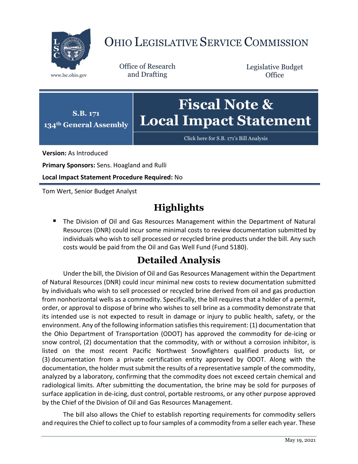

## OHIO LEGISLATIVE SERVICE COMMISSION

Office of Research www.lsc.ohio.gov and Drafting

Legislative Budget **Office** 



Click here for [S.B. 171's Bill Analysis](https://www.legislature.ohio.gov/legislation/legislation-documents?id=GA134-SB-171)

**Version:** As Introduced

**Primary Sponsors:** Sens. Hoagland and Rulli

**Local Impact Statement Procedure Required:** No

Tom Wert, Senior Budget Analyst

## **Highlights**

 The Division of Oil and Gas Resources Management within the Department of Natural Resources (DNR) could incur some minimal costs to review documentation submitted by individuals who wish to sell processed or recycled brine products under the bill. Any such costs would be paid from the Oil and Gas Well Fund (Fund 5180).

## **Detailed Analysis**

Under the bill, the Division of Oil and Gas Resources Management within the Department of Natural Resources (DNR) could incur minimal new costs to review documentation submitted by individuals who wish to sell processed or recycled brine derived from oil and gas production from nonhorizontal wells as a commodity. Specifically, the bill requires that a holder of a permit, order, or approval to dispose of brine who wishes to sell brine as a commodity demonstrate that its intended use is not expected to result in damage or injury to public health, safety, or the environment. Any of the following information satisfies this requirement: (1) documentation that the Ohio Department of Transportation (ODOT) has approved the commodity for de-icing or snow control, (2) documentation that the commodity, with or without a corrosion inhibitor, is listed on the most recent Pacific Northwest Snowfighters qualified products list, or (3) documentation from a private certification entity approved by ODOT. Along with the documentation, the holder must submit the results of a representative sample of the commodity, analyzed by a laboratory, confirming that the commodity does not exceed certain chemical and radiological limits. After submitting the documentation, the brine may be sold for purposes of surface application in de-icing, dust control, portable restrooms, or any other purpose approved by the Chief of the Division of Oil and Gas Resources Management.

The bill also allows the Chief to establish reporting requirements for commodity sellers and requires the Chief to collect up to four samples of a commodity from a seller each year. These